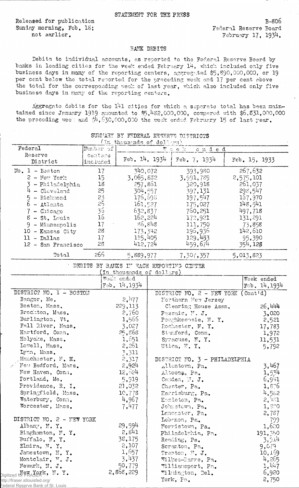Released for publication Sunday morning, Feb. 18: not sarlier.

ede

 $B-806$ Federal Reserve Board February 17, 1934.

## BANK DEBITS

Debits to individual accounts, as reported to the Federal Reserve Board by banks in leading cities for the week ended February 14, which included only five business days in many of the reporting centers, aggregated \$5,890,000,000, or 19 per cent below the total reported for the preceding week and 17 per cent above the total for the corresponding week of last year, which also included only five business days in many of the reporting centers.

Aggregate debits for the 141 cities for which a separate total has been maintained since January 1919 amounted to \$5,482,000,000, compared with \$6,831,000,000 the preceding week and  $\mathcal{H}$ , 630,000,000 the week ended February 15 of last year.

| (In thousands of dollars)                                                                                                                                             |                                                                        |                                                                                                   |  |                                                                                                   |                                                                                                   |  |
|-----------------------------------------------------------------------------------------------------------------------------------------------------------------------|------------------------------------------------------------------------|---------------------------------------------------------------------------------------------------|--|---------------------------------------------------------------------------------------------------|---------------------------------------------------------------------------------------------------|--|
| Federal                                                                                                                                                               | Ye raduun                                                              | ended<br>$W$ c e $X$                                                                              |  |                                                                                                   |                                                                                                   |  |
| Reserve<br>District                                                                                                                                                   | centars<br>included                                                    | Feb. $14, 1934$                                                                                   |  | Feb. $7, 1934$                                                                                    | Feb. 15, 1933                                                                                     |  |
| $No. 1 - Boston$<br>$2 -$ New York<br>3 - Philadelphia<br>$4 -$ Cleveland<br>5<br>- Richmond<br>6<br>- Atlanta<br>$7$ - Chicago<br>$8 - St.$ Louis<br>9 - Minneapolis | 17<br>15 <sub>1</sub><br>18<br>25<br>23<br>25<br>$\frac{35}{16}$<br>17 | 340,072<br>3,065,832<br>257,861<br>304,557<br>176,698<br>161,527<br>632,837<br>162,224<br>-86,848 |  | 393,980<br>3,991,789<br>320,918<br>397,131<br>197,547<br>175,027<br>760,251<br>172,921<br>111,750 | 267,632<br>2,575,101<br>261,037<br>298,547<br>167,970<br>148,541<br>497,718<br>131, 291<br>73,858 |  |
| 10 - Kansas City<br>$11 - Da11as$<br>12 - San Francisco                                                                                                               | 28<br>17<br>28                                                         | 173,342<br>115,405<br>412,724                                                                     |  | 196,936<br>129,433<br>459,674                                                                     | 142,610<br>95,390<br>354, 128                                                                     |  |
| Total                                                                                                                                                                 | 266                                                                    | 5,889,977                                                                                         |  | 7,307,357                                                                                         | 5,013,823                                                                                         |  |
| DEBITS BY BANKS IN EACH REPORTING CENTER<br>In thousands of dollars)                                                                                                  |                                                                        |                                                                                                   |  |                                                                                                   |                                                                                                   |  |
|                                                                                                                                                                       |                                                                        | Week ended<br>$F$ ab. 14, 1934                                                                    |  |                                                                                                   | Week ended<br>$Fcb$ , 14, 1934                                                                    |  |
| DISTRICT NO. 1 - BOSTON<br>Bangor, Me.                                                                                                                                |                                                                        | $2,$ <sup>11</sup> 77                                                                             |  | DISTRICT NO. 2 - NEW YORK (Cont'd)<br>Northern New Jersey                                         |                                                                                                   |  |
| Boston, Mass.<br>Brockton, Mass.                                                                                                                                      |                                                                        | 229, 113<br>2,760                                                                                 |  | Clearing House Assn.<br>Passaic, N. J.                                                            | 26,444<br>3,020                                                                                   |  |
| Burlington, Vt.<br>Fall River, Mass.<br>Hartford, Conn.                                                                                                               |                                                                        | 1,566<br>3,027<br>25,868                                                                          |  | Poughkeensie, N.Y.<br>Rochester, N.Y.<br>Stamford, Conn.                                          | 2,521<br>17,783                                                                                   |  |
| Holyoke, Mass.                                                                                                                                                        |                                                                        | 1,651                                                                                             |  | Syracuse, N.Y.                                                                                    | 1,972<br>11.531                                                                                   |  |

## SUMMARY BY FEDERAL RESERVE DISTRICTS

| DISTRICT NO. 1 - BOSTON              |                       | DISTRICT NO. 2 - NEW YORK (Cont'd) |         |  |
|--------------------------------------|-----------------------|------------------------------------|---------|--|
| Bangor, Me.                          | $2,$ <sup>1</sup> 177 | Northern New Jersey                |         |  |
| Boston, Mass.                        | 229, 113              | Clearing House Assn.               | 26,444  |  |
| Brockton, Mass.                      | 2,760                 | Passaic, N. J.                     | 3,020   |  |
| Burlington, Vt.                      | 1,566                 | Poughkeensie, N.Y.                 | 2,521   |  |
| Fall River, Mass.                    | 3,027                 | Rochester, N.Y.                    | 17,783  |  |
| Hartford, Conn.                      | 25,868                | Stamford, Conn.                    | 1,972   |  |
| Holyoke, Mass.                       | 1,651                 | Syracuse, N.Y.                     | 11,531  |  |
| Lowell, Mass.                        | 2,261                 | Utica, N.Y.                        | 5,792   |  |
| Lynn, Mass.                          | 3,311                 |                                    |         |  |
| Manchester, F. H.                    | 2,317                 | DISTRICT NO. 3 - PHILADELPHIA      |         |  |
| $\times$ New Bedford, Mass.          | 2,924                 | Allentown, Pa.                     | 3,467   |  |
| New Haven, Conn.                     | 12,524                | Altoona, Pa.                       | 1,534   |  |
| Fortland, Me.                        | 5,919                 | Camden, N. J.                      | 6,941   |  |
| Providence, R. I.                    | 21,032                | Chester, Pa.                       | 1,8.76  |  |
| Springfield, Mass.                   | 10,778                | Harrisburg, Pa.                    | 4,582   |  |
| Waterbury, Conn.                     | 4,967                 | Easleton, Pa.                      | 2,481   |  |
| Worcester, Mass.                     | 7,477                 | Johnstown, Pa.                     | 1,800   |  |
|                                      |                       | Lancester, Pa.                     | 2,787   |  |
| DISTRICT NO. 2 - NEW YORK            |                       | Leornon, Pa.                       | 799     |  |
| Albany, N.Y.                         | 29,594                | Norristown, Pa.                    | 1,620   |  |
| Binghamton, N.Y.                     | 2,841                 | Philadelphia, Pa.                  | 191,350 |  |
| Buffalo, N.Y.                        | 38,175                | Reading, Pa.                       | 3.914   |  |
| Elmira, N.Y.                         | 2,107                 | Scranton, Pa.                      | 9,679   |  |
| Jamestown, N.Y.                      | 1,657                 | Trenton, M. J.                     | 10,169  |  |
| Montclair, M. J.                     | 3,437                 | Wilkes-Earre, Pa.                  | 4,265   |  |
| Newark, N. J.                        | 50,779                | Williamsport, Pa.                  | 1,447   |  |
| Digitized for PRASPRE, $N \cdot Y$ . | 2,868,229             | Wilmington, Del.                   | 6,920   |  |
| http://fraser.stlouisfed.org/        |                       | York, Pa.                          | 2,750   |  |
| Federal Reserve Bank of St Louis     |                       |                                    |         |  |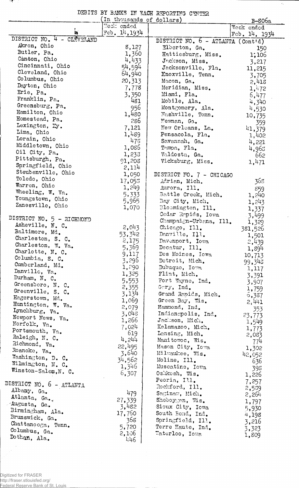**STATISTICS** 

## DEBITS BY BANKS IN EACH REPORTING CENTER

 $\overline{\mathcal{C}_{\mathbf{r}}}$ 

 $\hat{\mathcal{A}}$ 

|                                           | In thousands of dollars) |                                   | $B-806a$        |
|-------------------------------------------|--------------------------|-----------------------------------|-----------------|
|                                           | Week ended               |                                   | Week ended      |
| 'n                                        | Feb. 14, 1934            |                                   | Feb. $14, 1934$ |
| DISTRICT NO. 4 - CLEVELAND<br>Akron, Ohio |                          | DISTRICT NO. 6 - ATLANTA (Cont'd) |                 |
| Butler, Pa.                               | 8,127                    | Elberton, Ga.                     | 150             |
| Canton, Ohio                              | 1,360                    | Hattiesburg, Miss.                | 1,106           |
|                                           | 4,433                    | Jackson, Miss.                    | 3,217           |
| Cincinnati, Ohio<br>Cleveland, Ohio       | 54,594                   | Jacksonville, Fla.                | 11,215          |
| Columbus, Ohio                            | 64,940                   | Knoxville, Tenn.                  | 3,705           |
| Dayton, Ohio                              | 20,313                   | Macon, Ga.                        | 2,418           |
| Erie, Pa.                                 | 7,778                    | Meridian, Miss.                   | 1,472           |
| Franklin, Pa.                             | 3,350                    | Miami, Fla.                       | 6,477           |
| Greensburg, Pa.                           | 481                      | Mobile, Ala.                      | 4,340           |
| Hamilton, Ohio                            | 956                      | Montgomery, Ala.                  | 4,530           |
| Homestead, Pa.                            | 1,480                    | Mashville, Tenn.                  | 10,735          |
| Lexington, Ky.                            | 286                      | Mewnan, Ga.                       | 359             |
| Lima, Ohio                                | 7,121                    | Mew Orleans, La.                  | 41,379          |
| Lorain, Ohio                              | 1,489                    | Pensacola, Fla.                   | 1,402           |
| Middletown, Ohio                          | 478                      | Savannah, Ga.                     | 4,221           |
| Oil City, Pa.                             | 1,086                    | Tampa, Fla.                       | 4,963           |
| Pittsburgh, Pa.                           | 1,233                    | Valdosta, Ga.                     | 662             |
| Springfield, Ohio                         | 91,208                   | Vicksburg, Miss.                  | 1,471           |
| Steubenville, Ohio                        | 2,114                    |                                   |                 |
| Toledo, Ohio                              | 1,050                    | DISTRICT NO. 7 - CHICAGO          |                 |
| Warren, Ohio                              | 17,055                   | Adrian, Mich.                     | 368             |
| Wheeling, W. Va.                          | 1,249                    | Aurora, Ill.                      | 859             |
| Youngstown, Ohio                          | 5,333                    | Battle Creck, Mich.               | 1,240           |
| Zanesville, Ohio                          | 5,965                    | Bay City, Mich.                   | 1,243           |
|                                           | 1,070                    | Bloomington, Ill.                 | 1,337           |
| DISTRICT NO. 5 - RICHMOND                 |                          | Cedar Repids, Iowa                | $-3,499$        |
| Asheville, N. C.                          | 2,043                    | Champaign-Urbana, Ill.            | 1,329           |
| Baltimore, Md.                            | 53,342                   | Chicago, Ill.                     | 381,526         |
| Charleston, S. C.                         |                          | Danville, Ill.                    | 1,501           |
| Charleston, W. Va.                        | 2,175<br>5,369           | Davenport, Iowa<br>Decatur, Ill.  | 2,439           |
| Charlotte, N. C.                          | 9,117                    | Des Moines, Iowa                  | 1,894           |
| Columbia, S. C.                           | 3,296                    | Detroit, Mich.                    | 10,713          |
| Cumberland, Md.                           | 1,290                    | Dubuque, Iowa                     | 99,348          |
| Danville, Va.                             | 1,325                    | Flint, Mich.                      | 1,117           |
| Durham, N. C.                             | 5,553                    | Fort Wayne, Ind.                  | 3,391           |
| Greensboro, N. C.                         | 2,355                    | Gary, Ind.                        | 3,907           |
| Greenville, S. C.                         | 3,134                    | Grand Rapids, Mich.               | 1,759           |
| Hagerstown, Md.                           | 1,069                    | Green Bay, Wis.                   | 5,387           |
| Huntington, W. Va.                        | 2,079                    | Hammond, Ind.                     | 2,441           |
| Lynchburg, Va.                            | 3,048                    | Indianapolis, Ind.                | 353             |
| Newport News, Va.                         | 1,266                    | Jackson, Mich.                    | 23,773          |
| Norfolk, Va.                              | 7,024                    | Kalamazoo, Mich.                  | 1,549           |
| Portsmouth, Va.                           | 619                      | Lansing, Mich.                    | 1,773<br>2,083  |
| Raleigh, N. C.                            | 4,244                    | Manitowoc, Wis.                   | 77 <sup>1</sup> |
| Richmond, Va.                             | 22,495                   | Mason City, Iowa                  | 1,302           |
| Roanoke, Va.                              | 3,640                    | Milwaukee, Wis.                   | 42,052          |
| Washington, D. C.                         | 34,562                   | Moline, Ill.                      | 636             |
| Wilmington, N. C.                         | 1,345                    | Muscatine, Iowa                   | 398             |
| Winston-Salem, N. C.                      | 6,307                    | Oshkosh, Wis.                     | 1,226           |
|                                           |                          | Peoria, Ill.                      | 7,257           |
| DISTRICT NO. 6 - ATLANTA                  |                          | Rockford, Ill.                    | 2,539           |
| Albany, Ga.                               | 479                      | Saginaw, Mich.                    | 2,264           |
| Atlanta, Ga.,                             | 27,339                   | Sheboygan, Wis.                   | 1,797           |
| Augusta, Ga.                              | 3,482                    | Sioux City, Iowa                  | 5,930           |
| Birmingham, Ala.                          | 17,760                   | South Bend, Ind.                  | 4,198           |
| Brunswick, Ga.                            | 368                      | Springfield, Ill.                 | 3,216           |
| Chattanooga, Tenn.                        | 5,720                    | Terre Haute, Ind.                 | 3,323           |
| Columbus, Ga.                             | 2,106                    | Waterloo, Iowa                    | 1,809           |
| Dotham, Ala.                              | 446                      |                                   |                 |

Digitized for FRASER<br>http://fraser.stlouisfed.org/<br>Federal Reserve Bank of St. Louis

 $\ddot{\phantom{a}}$